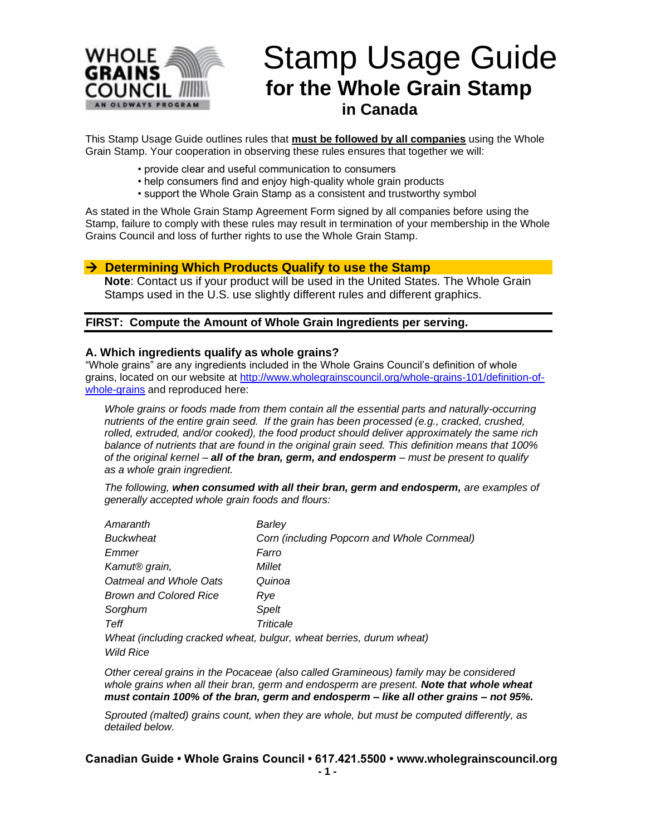

# Stamp Usage Guide **for the Whole Grain Stamp in Canada**

This Stamp Usage Guide outlines rules that **must be followed by all companies** using the Whole Grain Stamp. Your cooperation in observing these rules ensures that together we will:

- provide clear and useful communication to consumers
- help consumers find and enjoy high-quality whole grain products
- support the Whole Grain Stamp as a consistent and trustworthy symbol

As stated in the Whole Grain Stamp Agreement Form signed by all companies before using the Stamp, failure to comply with these rules may result in termination of your membership in the Whole Grains Council and loss of further rights to use the Whole Grain Stamp.

#### → **Determining Which Products Qualify to use the Stamp**

**Note**: Contact us if your product will be used in the United States. The Whole Grain Stamps used in the U.S. use slightly different rules and different graphics.

#### **FIRST: Compute the Amount of Whole Grain Ingredients per serving.**

#### **A. Which ingredients qualify as whole grains?**

"Whole grains" are any ingredients included in the Whole Grains Council's definition of whole grains, located on our website at [http://www.wholegrainscouncil.org/whole-grains-101/definition-of](http://www.wholegrainscouncil.org/whole-grains-101/definition-of-whole-grains)[whole-grains](http://www.wholegrainscouncil.org/whole-grains-101/definition-of-whole-grains) and reproduced here:

*Whole grains or foods made from them contain all the essential parts and naturally-occurring nutrients of the entire grain seed. If the grain has been processed (e.g., cracked, crushed, rolled, extruded, and/or cooked), the food product should deliver approximately the same rich balance of nutrients that are found in the original grain seed. This definition means that 100% of the original kernel – all of the bran, germ, and endosperm – must be present to qualify as a whole grain ingredient.*

*The following, when consumed with all their bran, germ and endosperm, are examples of generally accepted whole grain foods and flours:* 

| Amaranth                      | Barley                                                              |
|-------------------------------|---------------------------------------------------------------------|
| <b>Buckwheat</b>              | Corn (including Popcorn and Whole Cornmeal)                         |
| Emmer                         | Farro                                                               |
| Kamut <sup>®</sup> grain,     | Millet                                                              |
| Oatmeal and Whole Oats        | Quinoa                                                              |
| <b>Brown and Colored Rice</b> | Rve                                                                 |
| Sorghum                       | Spelt                                                               |
| Teff                          | Triticale                                                           |
|                               | Wheat (including cracked wheat, bulgur, wheat berries, durum wheat) |
| Wild Rice                     |                                                                     |

*Other cereal grains in the Pocaceae (also called Gramineous) family may be considered whole grains when all their bran, germ and endosperm are present. Note that whole wheat must contain 100% of the bran, germ and endosperm – like all other grains – not 95%.*

*Sprouted (malted) grains count, when they are whole, but must be computed differently, as detailed below.*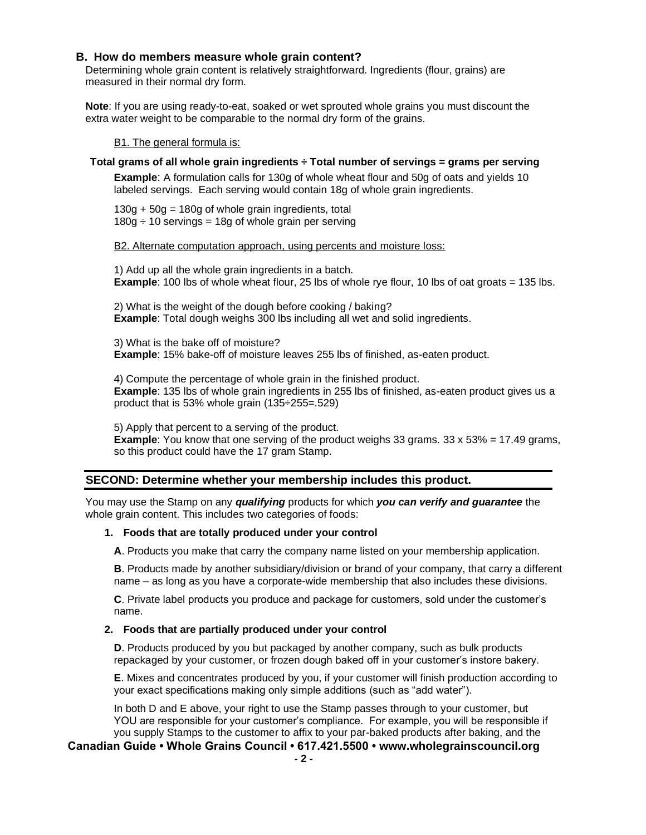#### **B. How do members measure whole grain content?**

Determining whole grain content is relatively straightforward. Ingredients (flour, grains) are measured in their normal dry form.

**Note**: If you are using ready-to-eat, soaked or wet sprouted whole grains you must discount the extra water weight to be comparable to the normal dry form of the grains.

B1. The general formula is:

#### **Total grams of all whole grain ingredients ÷ Total number of servings = grams per serving**

**Example**: A formulation calls for 130g of whole wheat flour and 50g of oats and yields 10 labeled servings. Each serving would contain 18g of whole grain ingredients.

 $130g + 50g = 180g$  of whole grain ingredients, total  $180g \div 10$  servings = 18g of whole grain per serving

B2. Alternate computation approach, using percents and moisture loss:

1) Add up all the whole grain ingredients in a batch. **Example**: 100 lbs of whole wheat flour, 25 lbs of whole rye flour, 10 lbs of oat groats = 135 lbs.

2) What is the weight of the dough before cooking / baking? **Example**: Total dough weighs 300 lbs including all wet and solid ingredients.

3) What is the bake off of moisture? **Example**: 15% bake-off of moisture leaves 255 lbs of finished, as-eaten product.

4) Compute the percentage of whole grain in the finished product. **Example**: 135 lbs of whole grain ingredients in 255 lbs of finished, as-eaten product gives us a product that is 53% whole grain (135÷255=.529)

5) Apply that percent to a serving of the product. **Example**: You know that one serving of the product weighs 33 grams. 33 x 53% = 17.49 grams, so this product could have the 17 gram Stamp.

#### **SECOND: Determine whether your membership includes this product.**

You may use the Stamp on any *qualifying* products for which *you can verify and guarantee* the whole grain content. This includes two categories of foods:

#### **1. Foods that are totally produced under your control**

**A**. Products you make that carry the company name listed on your membership application.

**B**. Products made by another subsidiary/division or brand of your company, that carry a different name – as long as you have a corporate-wide membership that also includes these divisions.

**C**. Private label products you produce and package for customers, sold under the customer's name.

#### **2. Foods that are partially produced under your control**

**D**. Products produced by you but packaged by another company, such as bulk products repackaged by your customer, or frozen dough baked off in your customer's instore bakery.

**E**. Mixes and concentrates produced by you, if your customer will finish production according to your exact specifications making only simple additions (such as "add water").

In both D and E above, your right to use the Stamp passes through to your customer, but YOU are responsible for your customer's compliance. For example, you will be responsible if you supply Stamps to the customer to affix to your par-baked products after baking, and the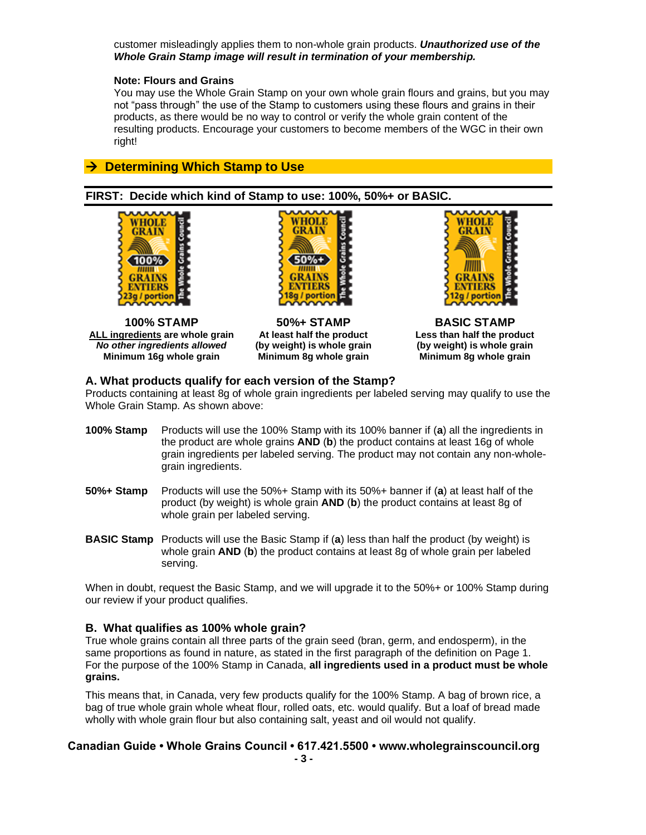customer misleadingly applies them to non-whole grain products. *Unauthorized use of the Whole Grain Stamp image will result in termination of your membership.*

#### **Note: Flours and Grains**

You may use the Whole Grain Stamp on your own whole grain flours and grains, but you may not "pass through" the use of the Stamp to customers using these flours and grains in their products, as there would be no way to control or verify the whole grain content of the resulting products. Encourage your customers to become members of the WGC in their own right!

# → **Determining Which Stamp to Use**

#### **FIRST: Decide which kind of Stamp to use: 100%, 50%+ or BASIC.**



**100% STAMP 50%+ STAMP BASIC STAMP ALL ingredients are whole grain At least half the product Less than half the product** *No other ingredients allowed* **(by weight) is whole grain (by weight) is whole grain Minimum 16g whole grain Minimum 8g whole grain Minimum 8g whole grain**





#### **A. What products qualify for each version of the Stamp?**

Products containing at least 8g of whole grain ingredients per labeled serving may qualify to use the Whole Grain Stamp. As shown above:

- **100% Stamp** Products will use the 100% Stamp with its 100% banner if (**a**) all the ingredients in the product are whole grains **AND** (**b**) the product contains at least 16g of whole grain ingredients per labeled serving. The product may not contain any non-wholegrain ingredients.
- **50%+ Stamp** Products will use the 50%+ Stamp with its 50%+ banner if (**a**) at least half of the product (by weight) is whole grain **AND** (**b**) the product contains at least 8g of whole grain per labeled serving.
- **BASIC Stamp** Products will use the Basic Stamp if (**a**) less than half the product (by weight) is whole grain **AND** (**b**) the product contains at least 8g of whole grain per labeled serving.

When in doubt, request the Basic Stamp, and we will upgrade it to the 50%+ or 100% Stamp during our review if your product qualifies.

#### **B. What qualifies as 100% whole grain?**

True whole grains contain all three parts of the grain seed (bran, germ, and endosperm), in the same proportions as found in nature, as stated in the first paragraph of the definition on Page 1. For the purpose of the 100% Stamp in Canada, **all ingredients used in a product must be whole grains.** 

This means that, in Canada, very few products qualify for the 100% Stamp. A bag of brown rice, a bag of true whole grain whole wheat flour, rolled oats, etc. would qualify. But a loaf of bread made wholly with whole grain flour but also containing salt, yeast and oil would not qualify.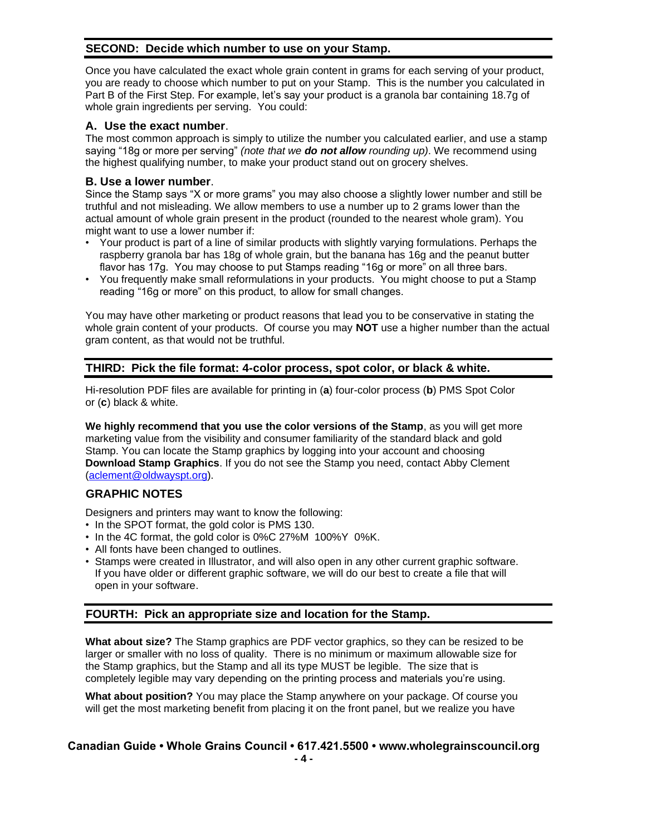### **SECOND: Decide which number to use on your Stamp.**

Once you have calculated the exact whole grain content in grams for each serving of your product, you are ready to choose which number to put on your Stamp. This is the number you calculated in Part B of the First Step. For example, let's say your product is a granola bar containing 18.7g of whole grain ingredients per serving. You could:

#### **A. Use the exact number**.

The most common approach is simply to utilize the number you calculated earlier, and use a stamp saying "18g or more per serving" *(note that we do not allow rounding up)*. We recommend using the highest qualifying number, to make your product stand out on grocery shelves.

# **B. Use a lower number**.

Since the Stamp says "X or more grams" you may also choose a slightly lower number and still be truthful and not misleading. We allow members to use a number up to 2 grams lower than the actual amount of whole grain present in the product (rounded to the nearest whole gram). You might want to use a lower number if:

- Your product is part of a line of similar products with slightly varying formulations. Perhaps the raspberry granola bar has 18g of whole grain, but the banana has 16g and the peanut butter flavor has 17g. You may choose to put Stamps reading "16g or more" on all three bars.
- You frequently make small reformulations in your products. You might choose to put a Stamp reading "16g or more" on this product, to allow for small changes.

You may have other marketing or product reasons that lead you to be conservative in stating the whole grain content of your products. Of course you may **NOT** use a higher number than the actual gram content, as that would not be truthful.

# **THIRD: Pick the file format: 4-color process, spot color, or black & white.**

Hi-resolution PDF files are available for printing in (**a**) four-color process (**b**) PMS Spot Color or (**c**) black & white.

**We highly recommend that you use the color versions of the Stamp**, as you will get more marketing value from the visibility and consumer familiarity of the standard black and gold Stamp. You can locate the Stamp graphics by logging into your account and choosing **Download Stamp Graphics**. If you do not see the Stamp you need, contact Abby Clement [\(aclement@oldwayspt.org\)](mailto:aclement@oldwayspt.org).

#### **GRAPHIC NOTES**

Designers and printers may want to know the following:

- In the SPOT format, the gold color is PMS 130.
- In the 4C format, the gold color is 0%C 27%M 100%Y 0%K.
- All fonts have been changed to outlines.
- Stamps were created in Illustrator, and will also open in any other current graphic software. If you have older or different graphic software, we will do our best to create a file that will open in your software.

# **FOURTH: Pick an appropriate size and location for the Stamp.**

**What about size?** The Stamp graphics are PDF vector graphics, so they can be resized to be larger or smaller with no loss of quality. There is no minimum or maximum allowable size for the Stamp graphics, but the Stamp and all its type MUST be legible. The size that is completely legible may vary depending on the printing process and materials you're using.

**What about position?** You may place the Stamp anywhere on your package. Of course you will get the most marketing benefit from placing it on the front panel, but we realize you have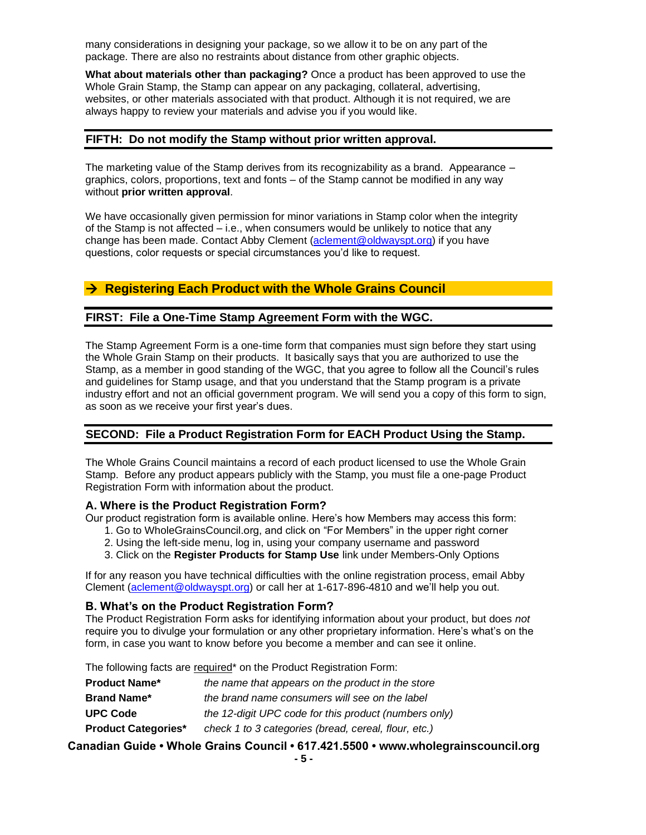many considerations in designing your package, so we allow it to be on any part of the package. There are also no restraints about distance from other graphic objects.

**What about materials other than packaging?** Once a product has been approved to use the Whole Grain Stamp, the Stamp can appear on any packaging, collateral, advertising, websites, or other materials associated with that product. Although it is not required, we are always happy to review your materials and advise you if you would like.

#### **FIFTH: Do not modify the Stamp without prior written approval.**

The marketing value of the Stamp derives from its recognizability as a brand. Appearance – graphics, colors, proportions, text and fonts – of the Stamp cannot be modified in any way without **prior written approval**.

We have occasionally given permission for minor variations in Stamp color when the integrity of the Stamp is not affected – i.e., when consumers would be unlikely to notice that any change has been made. Contact Abby Clement [\(aclement@oldwayspt.org\)](mailto:aclement@oldwayspt.org) if you have questions, color requests or special circumstances you'd like to request.

# → **Registering Each Product with the Whole Grains Council**

#### **FIRST: File a One-Time Stamp Agreement Form with the WGC.**

The Stamp Agreement Form is a one-time form that companies must sign before they start using the Whole Grain Stamp on their products. It basically says that you are authorized to use the Stamp, as a member in good standing of the WGC, that you agree to follow all the Council's rules and guidelines for Stamp usage, and that you understand that the Stamp program is a private industry effort and not an official government program. We will send you a copy of this form to sign, as soon as we receive your first year's dues.

#### **SECOND: File a Product Registration Form for EACH Product Using the Stamp.**

The Whole Grains Council maintains a record of each product licensed to use the Whole Grain Stamp. Before any product appears publicly with the Stamp, you must file a one-page Product Registration Form with information about the product.

#### **A. Where is the Product Registration Form?**

Our product registration form is available online. Here's how Members may access this form:

- 1. Go to WholeGrainsCouncil.org, and click on "For Members" in the upper right corner
- 2. Using the left-side menu, log in, using your company username and password
- 3. Click on the **Register Products for Stamp Use** link under Members-Only Options

If for any reason you have technical difficulties with the online registration process, email Abby Clement [\(aclement@oldwayspt.org\)](mailto:aclement@oldwayspt.org) or call her at 1-617-896-4810 and we'll help you out.

#### **B. What's on the Product Registration Form?**

The Product Registration Form asks for identifying information about your product, but does *not* require you to divulge your formulation or any other proprietary information. Here's what's on the form, in case you want to know before you become a member and can see it online.

The following facts are required\* on the Product Registration Form:

| <b>Product Name*</b>       | the name that appears on the product in the store     |
|----------------------------|-------------------------------------------------------|
| <b>Brand Name*</b>         | the brand name consumers will see on the label        |
| <b>UPC Code</b>            | the 12-digit UPC code for this product (numbers only) |
| <b>Product Categories*</b> | check 1 to 3 categories (bread, cereal, flour, etc.)  |
|                            |                                                       |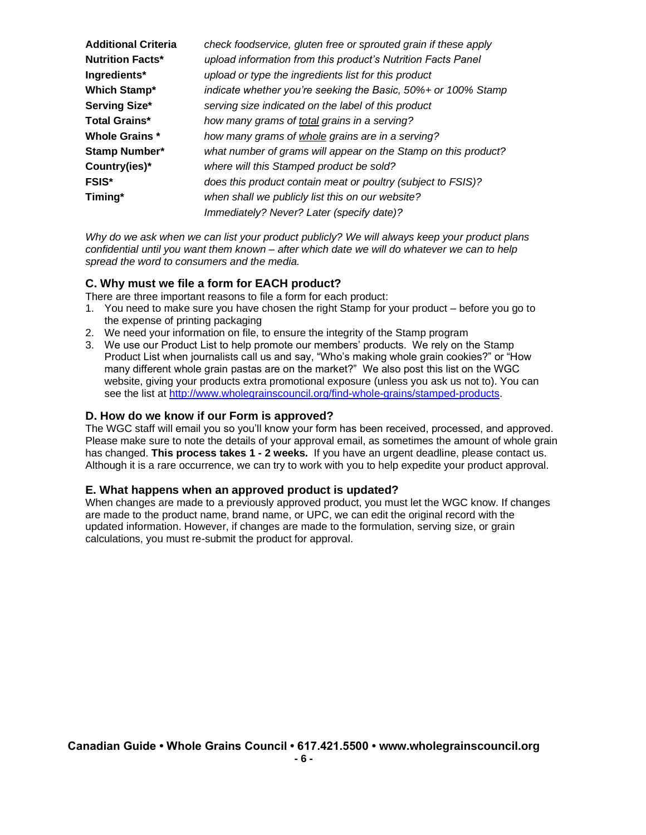| <b>Additional Criteria</b> | check foodservice, gluten free or sprouted grain if these apply |
|----------------------------|-----------------------------------------------------------------|
| <b>Nutrition Facts*</b>    | upload information from this product's Nutrition Facts Panel    |
| Ingredients*               | upload or type the ingredients list for this product            |
| <b>Which Stamp*</b>        | indicate whether you're seeking the Basic, 50%+ or 100% Stamp   |
| Serving Size*              | serving size indicated on the label of this product             |
| <b>Total Grains*</b>       | how many grams of total grains in a serving?                    |
| <b>Whole Grains *</b>      | how many grams of whole grains are in a serving?                |
| <b>Stamp Number*</b>       | what number of grams will appear on the Stamp on this product?  |
| Country(ies)*              | where will this Stamped product be sold?                        |
| <b>FSIS*</b>               | does this product contain meat or poultry (subject to FSIS)?    |
| Timing*                    | when shall we publicly list this on our website?                |
|                            | Immediately? Never? Later (specify date)?                       |

*Why do we ask when we can list your product publicly? We will always keep your product plans confidential until you want them known – after which date we will do whatever we can to help spread the word to consumers and the media.*

# **C. Why must we file a form for EACH product?**

There are three important reasons to file a form for each product:

- 1. You need to make sure you have chosen the right Stamp for your product before you go to the expense of printing packaging
- 2. We need your information on file, to ensure the integrity of the Stamp program
- 3. We use our Product List to help promote our members' products. We rely on the Stamp Product List when journalists call us and say, "Who's making whole grain cookies?" or "How many different whole grain pastas are on the market?" We also post this list on the WGC website, giving your products extra promotional exposure (unless you ask us not to). You can see the list at [http://www.wholegrainscouncil.org/find-whole-grains/stamped-products.](http://www.wholegrainscouncil.org/find-whole-grains/stamped-products)

#### **D. How do we know if our Form is approved?**

The WGC staff will email you so you'll know your form has been received, processed, and approved. Please make sure to note the details of your approval email, as sometimes the amount of whole grain has changed. **This process takes 1 - 2 weeks.** If you have an urgent deadline, please contact us. Although it is a rare occurrence, we can try to work with you to help expedite your product approval.

#### **E. What happens when an approved product is updated?**

When changes are made to a previously approved product, you must let the WGC know. If changes are made to the product name, brand name, or UPC, we can edit the original record with the updated information. However, if changes are made to the formulation, serving size, or grain calculations, you must re-submit the product for approval.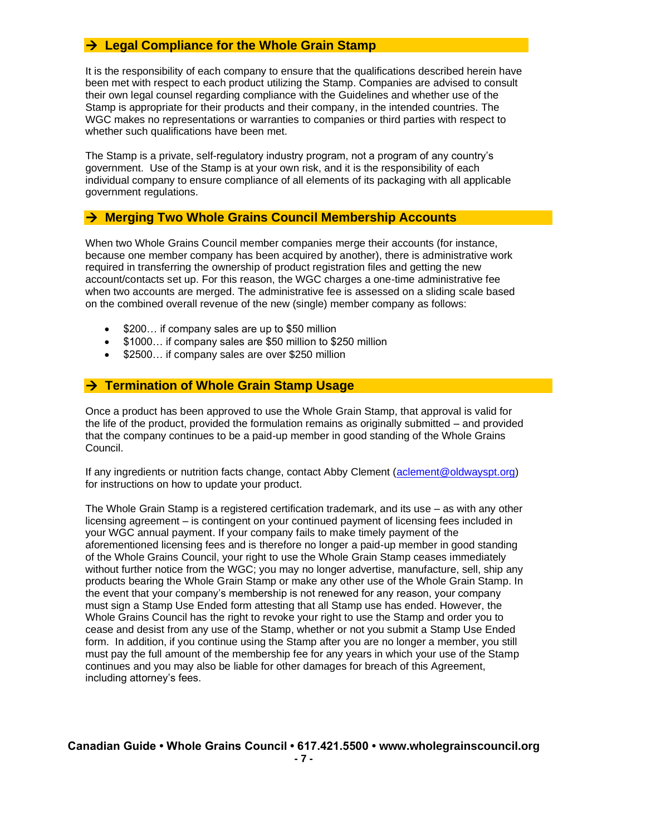# → **Legal Compliance for the Whole Grain Stamp**

It is the responsibility of each company to ensure that the qualifications described herein have been met with respect to each product utilizing the Stamp. Companies are advised to consult their own legal counsel regarding compliance with the Guidelines and whether use of the Stamp is appropriate for their products and their company, in the intended countries. The WGC makes no representations or warranties to companies or third parties with respect to whether such qualifications have been met.

The Stamp is a private, self-regulatory industry program, not a program of any country's government. Use of the Stamp is at your own risk, and it is the responsibility of each individual company to ensure compliance of all elements of its packaging with all applicable government regulations.

# → **Merging Two Whole Grains Council Membership Accounts**

When two Whole Grains Council member companies merge their accounts (for instance, because one member company has been acquired by another), there is administrative work required in transferring the ownership of product registration files and getting the new account/contacts set up. For this reason, the WGC charges a one-time administrative fee when two accounts are merged. The administrative fee is assessed on a sliding scale based on the combined overall revenue of the new (single) member company as follows:

- \$200... if company sales are up to \$50 million
- \$1000… if company sales are \$50 million to \$250 million
- \$2500... if company sales are over \$250 million

# → **Termination of Whole Grain Stamp Usage**

Once a product has been approved to use the Whole Grain Stamp, that approval is valid for the life of the product, provided the formulation remains as originally submitted – and provided that the company continues to be a paid-up member in good standing of the Whole Grains Council.

If any ingredients or nutrition facts change, contact Abby Clement [\(aclement@oldwayspt.org\)](mailto:aclement@oldwayspt.org) for instructions on how to update your product.

The Whole Grain Stamp is a registered certification trademark, and its use – as with any other licensing agreement – is contingent on your continued payment of licensing fees included in your WGC annual payment. If your company fails to make timely payment of the aforementioned licensing fees and is therefore no longer a paid-up member in good standing of the Whole Grains Council, your right to use the Whole Grain Stamp ceases immediately without further notice from the WGC; you may no longer advertise, manufacture, sell, ship any products bearing the Whole Grain Stamp or make any other use of the Whole Grain Stamp. In the event that your company's membership is not renewed for any reason, your company must sign a Stamp Use Ended form attesting that all Stamp use has ended. However, the Whole Grains Council has the right to revoke your right to use the Stamp and order you to cease and desist from any use of the Stamp, whether or not you submit a Stamp Use Ended form. In addition, if you continue using the Stamp after you are no longer a member, you still must pay the full amount of the membership fee for any years in which your use of the Stamp continues and you may also be liable for other damages for breach of this Agreement, including attorney's fees.